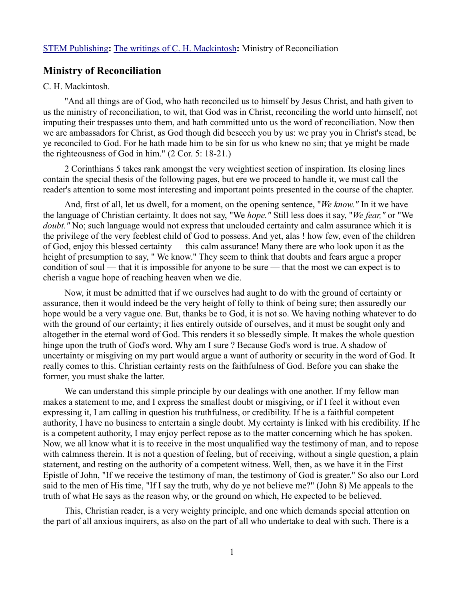## **Ministry of Reconciliation**

## C. H. Mackintosh.

"And all things are of God, who hath reconciled us to himself by Jesus Christ, and hath given to us the ministry of reconciliation, to wit, that God was in Christ, reconciling the world unto himself, not imputing their trespasses unto them, and hath committed unto us the word of reconciliation. Now then we are ambassadors for Christ, as God though did beseech you by us: we pray you in Christ's stead, be ye reconciled to God. For he hath made him to be sin for us who knew no sin; that ye might be made the righteousness of God in him." (2 Cor. 5: 18-21.)

2 Corinthians 5 takes rank amongst the very weightiest section of inspiration. Its closing lines contain the special thesis of the following pages, but ere we proceed to handle it, we must call the reader's attention to some most interesting and important points presented in the course of the chapter.

And, first of all, let us dwell, for a moment, on the opening sentence, "*We know."* In it we have the language of Christian certainty. It does not say, "We *hope."* Still less does it say, "*We fear,"* or "We *doubt."* No; such language would not express that unclouded certainty and calm assurance which it is the privilege of the very feeblest child of God to possess. And yet, alas ! how few, even of the children of God, enjoy this blessed certainty — this calm assurance! Many there are who look upon it as the height of presumption to say, " We know." They seem to think that doubts and fears argue a proper condition of soul — that it is impossible for anyone to be sure — that the most we can expect is to cherish a vague hope of reaching heaven when we die.

Now, it must be admitted that if we ourselves had aught to do with the ground of certainty or assurance, then it would indeed be the very height of folly to think of being sure; then assuredly our hope would be a very vague one. But, thanks be to God, it is not so. We having nothing whatever to do with the ground of our certainty; it lies entirely outside of ourselves, and it must be sought only and altogether in the eternal word of God. This renders it so blessedly simple. It makes the whole question hinge upon the truth of God's word. Why am I sure ? Because God's word is true. A shadow of uncertainty or misgiving on my part would argue a want of authority or security in the word of God. It really comes to this. Christian certainty rests on the faithfulness of God. Before you can shake the former, you must shake the latter.

We can understand this simple principle by our dealings with one another. If my fellow man makes a statement to me, and I express the smallest doubt or misgiving, or if I feel it without even expressing it, I am calling in question his truthfulness, or credibility. If he is a faithful competent authority, I have no business to entertain a single doubt. My certainty is linked with his credibility. If he is a competent authority, I may enjoy perfect repose as to the matter concerning which he has spoken. Now, we all know what it is to receive in the most unqualified way the testimony of man, and to repose with calmness therein. It is not a question of feeling, but of receiving, without a single question, a plain statement, and resting on the authority of a competent witness. Well, then, as we have it in the First Epistle of John, "If we receive the testimony of man, the testimony of God is greater." So also our Lord said to the men of His time, "If I say the truth, why do ye not believe me?" (John 8) Me appeals to the truth of what He says as the reason why, or the ground on which, He expected to be believed.

This, Christian reader, is a very weighty principle, and one which demands special attention on the part of all anxious inquirers, as also on the part of all who undertake to deal with such. There is a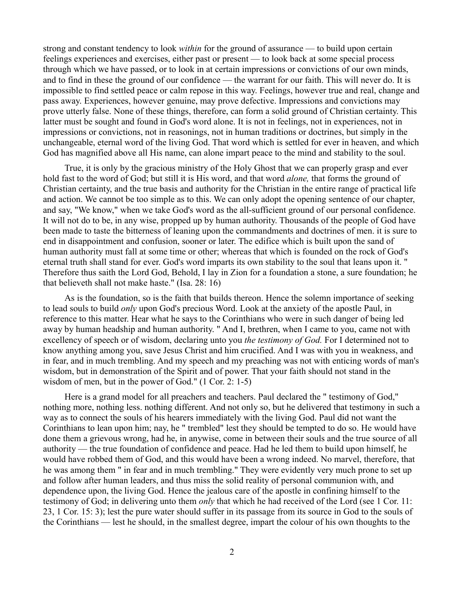strong and constant tendency to look *within* for the ground of assurance — to build upon certain feelings experiences and exercises, either past or present — to look back at some special process through which we have passed, or to look in at certain impressions or convictions of our own minds, and to find in these the ground of our confidence — the warrant for our faith. This will never do. It is impossible to find settled peace or calm repose in this way. Feelings, however true and real, change and pass away. Experiences, however genuine, may prove defective. Impressions and convictions may prove utterly false. None of these things, therefore, can form a solid ground of Christian certainty. This latter must be sought and found in God's word alone. It is not in feelings, not in experiences, not in impressions or convictions, not in reasonings, not in human traditions or doctrines, but simply in the unchangeable, eternal word of the living God. That word which is settled for ever in heaven, and which God has magnified above all His name, can alone impart peace to the mind and stability to the soul.

True, it is only by the gracious ministry of the Holy Ghost that we can properly grasp and ever hold fast to the word of God; but still it is His word, and that word *alone,* that forms the ground of Christian certainty, and the true basis and authority for the Christian in the entire range of practical life and action. We cannot be too simple as to this. We can only adopt the opening sentence of our chapter, and say, "We know," when we take God's word as the all-sufficient ground of our personal confidence. It will not do to be, in any wise, propped up by human authority. Thousands of the people of God have been made to taste the bitterness of leaning upon the commandments and doctrines of men. it is sure to end in disappointment and confusion, sooner or later. The edifice which is built upon the sand of human authority must fall at some time or other; whereas that which is founded on the rock of God's eternal truth shall stand for ever. God's word imparts its own stability to the soul that leans upon it. " Therefore thus saith the Lord God, Behold, I lay in Zion for a foundation a stone, a sure foundation; he that believeth shall not make haste." (Isa. 28: 16)

As is the foundation, so is the faith that builds thereon. Hence the solemn importance of seeking to lead souls to build *only* upon God's precious Word. Look at the anxiety of the apostle Paul, in reference to this matter. Hear what he says to the Corinthians who were in such danger of being led away by human headship and human authority. " And I, brethren, when I came to you, came not with excellency of speech or of wisdom, declaring unto you *the testimony of God.* For I determined not to know anything among you, save Jesus Christ and him crucified. And I was with you in weakness, and in fear, and in much trembling. And my speech and my preaching was not with enticing words of man's wisdom, but in demonstration of the Spirit and of power. That your faith should not stand in the wisdom of men, but in the power of God." (1 Cor. 2: 1-5)

Here is a grand model for all preachers and teachers. Paul declared the " testimony of God," nothing more, nothing less. nothing different. And not only so, but he delivered that testimony in such a way as to connect the souls of his hearers immediately with the living God. Paul did not want the Corinthians to lean upon him; nay, he " trembled" lest they should be tempted to do so. He would have done them a grievous wrong, had he, in anywise, come in between their souls and the true source of all authority — the true foundation of confidence and peace. Had he led them to build upon himself, he would have robbed them of God, and this would have been a wrong indeed. No marvel, therefore, that he was among them " in fear and in much trembling." They were evidently very much prone to set up and follow after human leaders, and thus miss the solid reality of personal communion with, and dependence upon, the living God. Hence the jealous care of the apostle in confining himself to the testimony of God; in delivering unto them *only* that which he had received of the Lord (see 1 Cor. 11: 23, 1 Cor. 15: 3); lest the pure water should suffer in its passage from its source in God to the souls of the Corinthians — lest he should, in the smallest degree, impart the colour of his own thoughts to the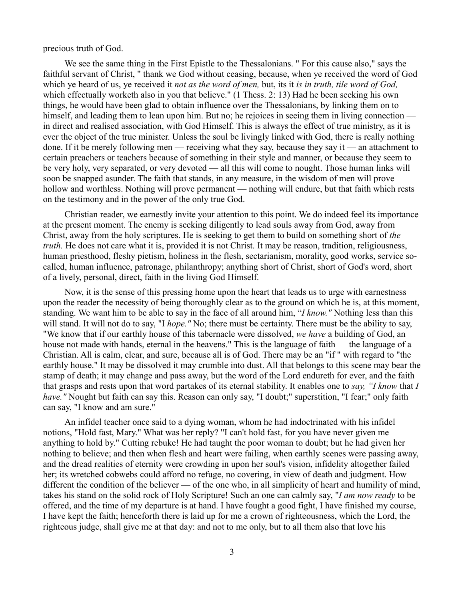precious truth of God.

We see the same thing in the First Epistle to the Thessalonians. " For this cause also," says the faithful servant of Christ, " thank we God without ceasing, because, when ye received the word of God which ye heard of us, ye received it *not as the word of men,* but, its it *is in truth, tile word of God,* which effectually worketh also in you that believe." (1 Thess. 2: 13) Had he been seeking his own things, he would have been glad to obtain influence over the Thessalonians, by linking them on to himself, and leading them to lean upon him. But no; he rejoices in seeing them in living connection in direct and realised association, with God Himself. This is always the effect of true ministry, as it is ever the object of the true minister. Unless the soul be livingly linked with God, there is really nothing done. If it be merely following men — receiving what they say, because they say it — an attachment to certain preachers or teachers because of something in their style and manner, or because they seem to be very holy, very separated, or very devoted — all this will come to nought. Those human links will soon be snapped asunder. The faith that stands, in any measure, in the wisdom of men will prove hollow and worthless. Nothing will prove permanent — nothing will endure, but that faith which rests on the testimony and in the power of the only true God.

Christian reader, we earnestly invite your attention to this point. We do indeed feel its importance at the present moment. The enemy is seeking diligently to lead souls away from God, away from Christ, away from the holy scriptures. He is seeking to get them to build on something short of *the truth.* He does not care what it is, provided it is not Christ. It may be reason, tradition, religiousness, human priesthood, fleshy pietism, holiness in the flesh, sectarianism, morality, good works, service socalled, human influence, patronage, philanthropy; anything short of Christ, short of God's word, short of a lively, personal, direct, faith in the living God Himself.

Now, it is the sense of this pressing home upon the heart that leads us to urge with earnestness upon the reader the necessity of being thoroughly clear as to the ground on which he is, at this moment, standing. We want him to be able to say in the face of all around him, "*I know."* Nothing less than this will stand. It will not do to say, "I *hope."* No; there must be certainty. There must be the ability to say, "We know that if our earthly house of this tabernacle were dissolved, *we have* a building of God, an house not made with hands, eternal in the heavens." This is the language of faith — the language of a Christian. All is calm, clear, and sure, because all is of God. There may be an "if " with regard to "the earthly house." It may be dissolved it may crumble into dust. All that belongs to this scene may bear the stamp of death; it may change and pass away, but the word of the Lord endureth for ever, and the faith that grasps and rests upon that word partakes of its eternal stability. It enables one to *say, "I know* that *I have."* Nought but faith can say this. Reason can only say, "I doubt;" superstition, "I fear;" only faith can say, "I know and am sure."

An infidel teacher once said to a dying woman, whom he had indoctrinated with his infidel notions, "Hold fast, Mary." What was her reply? "I can't hold fast, for you have never given me anything to hold by." Cutting rebuke! He had taught the poor woman to doubt; but he had given her nothing to believe; and then when flesh and heart were failing, when earthly scenes were passing away, and the dread realities of eternity were crowding in upon her soul's vision, infidelity altogether failed her; its wretched cobwebs could afford no refuge, no covering, in view of death and judgment. How different the condition of the believer — of the one who, in all simplicity of heart and humility of mind, takes his stand on the solid rock of Holy Scripture! Such an one can calmly say, "*I am now ready* to be offered, and the time of my departure is at hand. I have fought a good fight, I have finished my course, I have kept the faith; henceforth there is laid up for me a crown of righteousness, which the Lord, the righteous judge, shall give me at that day: and not to me only, but to all them also that love his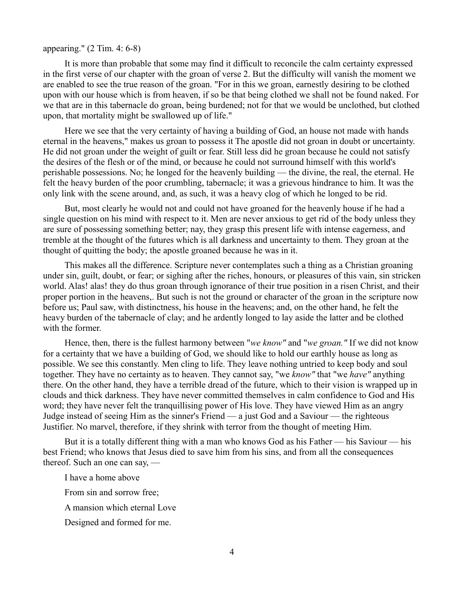## appearing." (2 Tim. 4: 6-8)

It is more than probable that some may find it difficult to reconcile the calm certainty expressed in the first verse of our chapter with the groan of verse 2. But the difficulty will vanish the moment we are enabled to see the true reason of the groan. "For in this we groan, earnestly desiring to be clothed upon with our house which is from heaven, if so be that being clothed we shall not be found naked. For we that are in this tabernacle do groan, being burdened; not for that we would be unclothed, but clothed upon, that mortality might be swallowed up of life."

Here we see that the very certainty of having a building of God, an house not made with hands eternal in the heavens," makes us groan to possess it The apostle did not groan in doubt or uncertainty. He did not groan under the weight of guilt or fear. Still less did he groan because he could not satisfy the desires of the flesh or of the mind, or because he could not surround himself with this world's perishable possessions. No; he longed for the heavenly building — the divine, the real, the eternal. He felt the heavy burden of the poor crumbling, tabernacle; it was a grievous hindrance to him. It was the only link with the scene around, and, as such, it was a heavy clog of which he longed to be rid.

But, most clearly he would not and could not have groaned for the heavenly house if he had a single question on his mind with respect to it. Men are never anxious to get rid of the body unless they are sure of possessing something better; nay, they grasp this present life with intense eagerness, and tremble at the thought of the futures which is all darkness and uncertainty to them. They groan at the thought of quitting the body; the apostle groaned because he was in it.

This makes all the difference. Scripture never contemplates such a thing as a Christian groaning under sin, guilt, doubt, or fear; or sighing after the riches, honours, or pleasures of this vain, sin stricken world. Alas! alas! they do thus groan through ignorance of their true position in a risen Christ, and their proper portion in the heavens,. But such is not the ground or character of the groan in the scripture now before us; Paul saw, with distinctness, his house in the heavens; and, on the other hand, he felt the heavy burden of the tabernacle of clay; and he ardently longed to lay aside the latter and be clothed with the former.

Hence, then, there is the fullest harmony between "*we know"* and "*we groan."* If we did not know for a certainty that we have a building of God, we should like to hold our earthly house as long as possible. We see this constantly. Men cling to life. They leave nothing untried to keep body and soul together. They have no certainty as to heaven. They cannot say, "we *know"* that "we *have"* anything there. On the other hand, they have a terrible dread of the future, which to their vision is wrapped up in clouds and thick darkness. They have never committed themselves in calm confidence to God and His word; they have never felt the tranquillising power of His love. They have viewed Him as an angry Judge instead of seeing Him as the sinner's Friend — a just God and a Saviour — the righteous Justifier. No marvel, therefore, if they shrink with terror from the thought of meeting Him.

But it is a totally different thing with a man who knows God as his Father — his Saviour — his best Friend; who knows that Jesus died to save him from his sins, and from all the consequences thereof. Such an one can say, —

I have a home above

From sin and sorrow free;

A mansion which eternal Love

Designed and formed for me.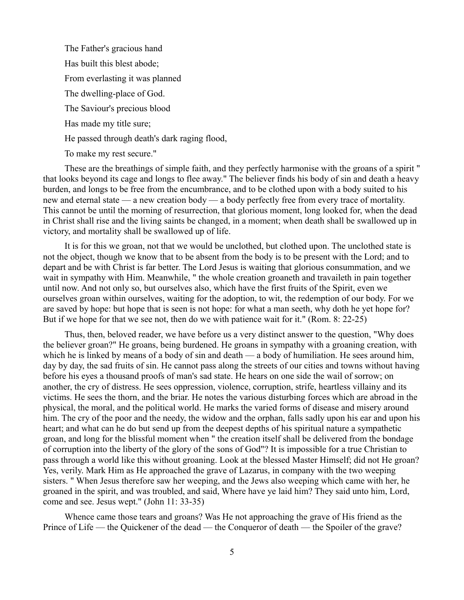The Father's gracious hand Has built this blest abode; From everlasting it was planned The dwelling-place of God. The Saviour's precious blood Has made my title sure; He passed through death's dark raging flood,

To make my rest secure."

These are the breathings of simple faith, and they perfectly harmonise with the groans of a spirit " that looks beyond its cage and longs to flee away." The believer finds his body of sin and death a heavy burden, and longs to be free from the encumbrance, and to be clothed upon with a body suited to his new and eternal state — a new creation body — a body perfectly free from every trace of mortality. This cannot be until the morning of resurrection, that glorious moment, long looked for, when the dead in Christ shall rise and the living saints be changed, in a moment; when death shall be swallowed up in victory, and mortality shall be swallowed up of life.

It is for this we groan, not that we would be unclothed, but clothed upon. The unclothed state is not the object, though we know that to be absent from the body is to be present with the Lord; and to depart and be with Christ is far better. The Lord Jesus is waiting that glorious consummation, and we wait in sympathy with Him. Meanwhile, " the whole creation groaneth and travaileth in pain together until now. And not only so, but ourselves also, which have the first fruits of the Spirit, even we ourselves groan within ourselves, waiting for the adoption, to wit, the redemption of our body. For we are saved by hope: but hope that is seen is not hope: for what a man seeth, why doth he yet hope for? But if we hope for that we see not, then do we with patience wait for it." (Rom. 8: 22-25)

Thus, then, beloved reader, we have before us a very distinct answer to the question, "Why does the believer groan?" He groans, being burdened. He groans in sympathy with a groaning creation, with which he is linked by means of a body of sin and death — a body of humiliation. He sees around him, day by day, the sad fruits of sin. He cannot pass along the streets of our cities and towns without having before his eyes a thousand proofs of man's sad state. He hears on one side the wail of sorrow; on another, the cry of distress. He sees oppression, violence, corruption, strife, heartless villainy and its victims. He sees the thorn, and the briar. He notes the various disturbing forces which are abroad in the physical, the moral, and the political world. He marks the varied forms of disease and misery around him. The cry of the poor and the needy, the widow and the orphan, falls sadly upon his ear and upon his heart; and what can he do but send up from the deepest depths of his spiritual nature a sympathetic groan, and long for the blissful moment when " the creation itself shall be delivered from the bondage of corruption into the liberty of the glory of the sons of God"? It is impossible for a true Christian to pass through a world like this without groaning. Look at the blessed Master Himself; did not He groan? Yes, verily. Mark Him as He approached the grave of Lazarus, in company with the two weeping sisters. " When Jesus therefore saw her weeping, and the Jews also weeping which came with her, he groaned in the spirit, and was troubled, and said, Where have ye laid him? They said unto him, Lord, come and see. Jesus wept." (John 11: 33-35)

Whence came those tears and groans? Was He not approaching the grave of His friend as the Prince of Life — the Quickener of the dead — the Conqueror of death — the Spoiler of the grave?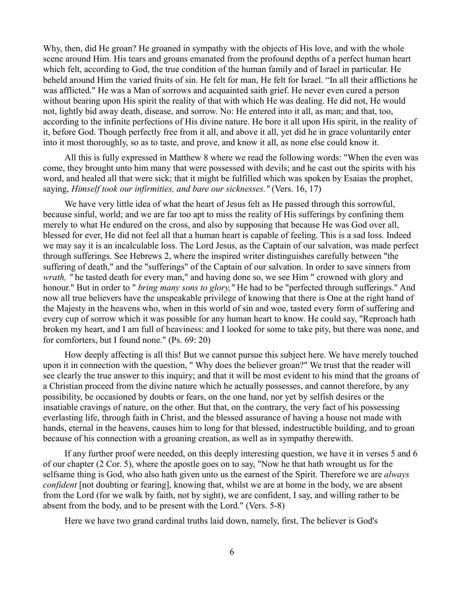Why, then, did He groan? He groaned in sympathy with the objects of His love, and with the whole scene around Him. His tears and groans emanated from the profound depths of a perfect human heart which felt, according to God, the true condition of the human family and of Israel in particular. He beheld around Him the varied fruits of sin. He felt for man, He felt for Israel. "In all their afflictions he was afflicted." He was a Man of sorrows and acquainted saith grief. He never even cured a person without bearing upon His spirit the reality of that with which He was dealing. He did not, He would not, lightly bid away death, disease, and sorrow. No: He entered into it all, as man; and that, too, according to the infinite perfections of His divine nature. He bore it all upon His spirit, in the reality of it, before God. Though perfectly free from it all, and above it all, yet did he in grace voluntarily enter into it most thoroughly, so as to taste, and prove, and know it all, as none else could know it.

All this is fully expressed in Matthew 8 where we read the following words: "When the even was come, they brought unto him many that were possessed with devils; and he cast out the spirits with his word, and healed all that were sick; that it might be fulfilled which was spoken by Esaias the prophet, saying, *Himself took our infirmities, and bare our sicknesses."* (Vers. 16, 17)

We have very little idea of what the heart of Jesus felt as He passed through this sorrowful, because sinful, world; and we are far too apt to miss the reality of His sufferings by confining them merely to what He endured on the cross, and also by supposing that because He was God over all, blessed for ever, He did not feel all that a human heart is capable of feeling. This is a sad loss. Indeed we may say it is an incalculable loss. The Lord Jesus, as the Captain of our salvation, was made perfect through sufferings. See Hebrews 2, where the inspired writer distinguishes carefully between "the suffering of death," and the "sufferings" of the Captain of our salvation. In order to save sinners from *wrath*, " he tasted death for every man," and having done so, we see Him " crowned with glory and honour." But in order to " *bring many sons to glory,"* He had to be "perfected through sufferings." And now all true believers have the unspeakable privilege of knowing that there is One at the right hand of the Majesty in the heavens who, when in this world of sin and woe, tasted every form of suffering and every cup of sorrow which it was possible for any human heart to know. He could say, "Reproach hath broken my heart, and I am full of heaviness: and I looked for some to take pity, but there was none, and for comforters, but I found none." (Ps. 69: 20)

How deeply affecting is all this! But we cannot pursue this subject here. We have merely touched upon it in connection with the question, " Why does the believer groan?" We trust that the reader will see clearly the true answer to this inquiry; and that it will be most evident to his mind that the groans of a Christian proceed from the divine nature which he actually possesses, and cannot therefore, by any possibility, be occasioned by doubts or fears, on the one hand, nor yet by selfish desires or the insatiable cravings of nature, on the other. But that, on the contrary, the very fact of his possessing everlasting life, through faith in Christ, and the blessed assurance of having a house not made with hands, eternal in the heavens, causes him to long for that blessed, indestructible building, and to groan because of his connection with a groaning creation, as well as in sympathy therewith.

If any further proof were needed, on this deeply interesting question, we have it in verses 5 and 6 of our chapter (2 Cor. 5), where the apostle goes on to say, "Now he that hath wrought us for the selfsame thing is God, who also hath given unto us the earnest of the Spirit. Therefore we are *always confident* [not doubting or fearing], knowing that, whilst we are at home in the body, we are absent from the Lord (for we walk by faith, not by sight), we are confident, I say, and willing rather to be absent from the body, and to be present with the Lord." (Vers. 5-8)

Here we have two grand cardinal truths laid down, namely, first, The believer is God's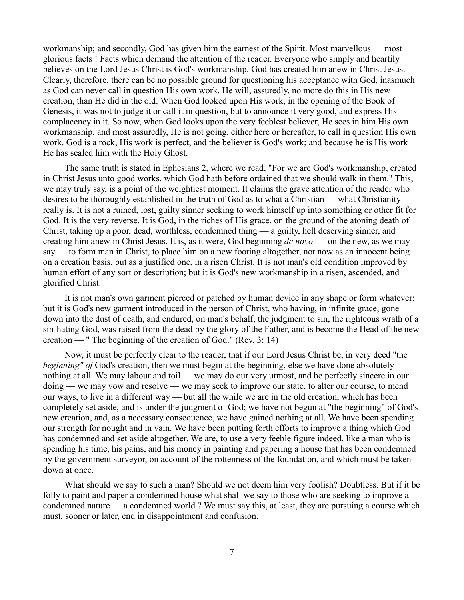workmanship; and secondly, God has given him the earnest of the Spirit. Most marvellous — most glorious facts ! Facts which demand the attention of the reader. Everyone who simply and heartily believes on the Lord Jesus Christ is God's workmanship. God has created him anew in Christ Jesus. Clearly, therefore, there can be no possible ground for questioning his acceptance with God, inasmuch as God can never call in question His own work. He will, assuredly, no more do this in His new creation, than He did in the old. When God looked upon His work, in the opening of the Book of Genesis, it was not to judge it or call it in question, but to announce it very good, and express His complacency in it. So now, when God looks upon the very feeblest believer, He sees in him His own workmanship, and most assuredly, He is not going, either here or hereafter, to call in question His own work. God is a rock, His work is perfect, and the believer is God's work; and because he is His work He has sealed him with the Holy Ghost.

The same truth is stated in Ephesians 2, where we read, "For we are God's workmanship, created in Christ Jesus unto good works, which God hath before ordained that we should walk in them." This, we may truly say, is a point of the weightiest moment. It claims the grave attention of the reader who desires to be thoroughly established in the truth of God as to what a Christian — what Christianity really is. It is not a ruined, lost, guilty sinner seeking to work himself up into something or other fit for God. It is the very reverse. It is God, in the riches of His grace, on the ground of the atoning death of Christ, taking up a poor, dead, worthless, condemned thing — a guilty, hell deserving sinner, and creating him anew in Christ Jesus. It is, as it were, God beginning *de novo —* on the new, as we may say — to form man in Christ, to place him on a new footing altogether, not now as an innocent being on a creation basis, but as a justified one, in a risen Christ. It is not man's old condition improved by human effort of any sort or description; but it is God's new workmanship in a risen, ascended, and glorified Christ.

It is not man's own garment pierced or patched by human device in any shape or form whatever; but it is God's new garment introduced in the person of Christ, who having, in infinite grace, gone down into the dust of death, and endured, on man's behalf, the judgment to sin, the righteous wrath of a sin-hating God, was raised from the dead by the glory of the Father, and is become the Head of the new creation — " The beginning of the creation of God." (Rev. 3: 14)

Now, it must be perfectly clear to the reader, that if our Lord Jesus Christ be, in very deed "the *beginning" of* God's creation, then we must begin at the beginning, else we have done absolutely nothing at all. We may labour and toil — we may do our very utmost, and be perfectly sincere in our doing — we may vow and resolve — we may seek to improve our state, to alter our course, to mend our ways, to live in a different way — but all the while we are in the old creation, which has been completely set aside, and is under the judgment of God; we have not begun at "the beginning" of God's new creation, and, as a necessary consequence, we have gained nothing at all. We have been spending our strength for nought and in vain. We have been putting forth efforts to improve a thing which God has condemned and set aside altogether. We are, to use a very feeble figure indeed, like a man who is spending his time, his pains, and his money in painting and papering a house that has been condemned by the government surveyor, on account of the rottenness of the foundation, and which must be taken down at once.

What should we say to such a man? Should we not deem him very foolish? Doubtless. But if it be folly to paint and paper a condemned house what shall we say to those who are seeking to improve a condemned nature — a condemned world ? We must say this, at least, they are pursuing a course which must, sooner or later, end in disappointment and confusion.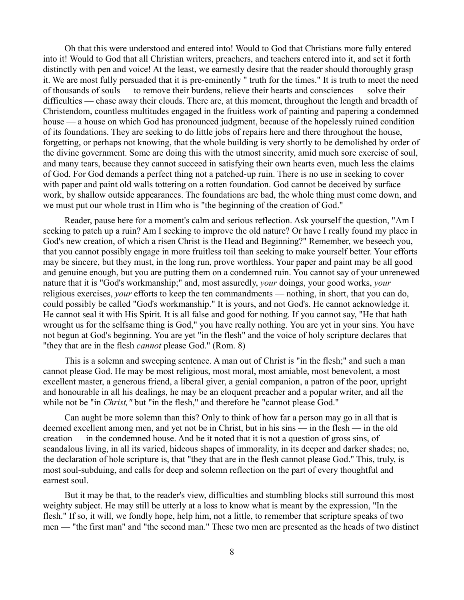Oh that this were understood and entered into! Would to God that Christians more fully entered into it! Would to God that all Christian writers, preachers, and teachers entered into it, and set it forth distinctly with pen and voice! At the least, we earnestly desire that the reader should thoroughly grasp it. We are most fully persuaded that it is pre-eminently " truth for the times." It is truth to meet the need of thousands of souls — to remove their burdens, relieve their hearts and consciences — solve their difficulties — chase away their clouds. There are, at this moment, throughout the length and breadth of Christendom, countless multitudes engaged in the fruitless work of painting and papering a condemned house — a house on which God has pronounced judgment, because of the hopelessly ruined condition of its foundations. They are seeking to do little jobs of repairs here and there throughout the house, forgetting, or perhaps not knowing, that the whole building is very shortly to be demolished by order of the divine government. Some are doing this with the utmost sincerity, amid much sore exercise of soul, and many tears, because they cannot succeed in satisfying their own hearts even, much less the claims of God. For God demands a perfect thing not a patched-up ruin. There is no use in seeking to cover with paper and paint old walls tottering on a rotten foundation. God cannot be deceived by surface work, by shallow outside appearances. The foundations are bad, the whole thing must come down, and we must put our whole trust in Him who is "the beginning of the creation of God."

Reader, pause here for a moment's calm and serious reflection. Ask yourself the question, "Am I seeking to patch up a ruin? Am I seeking to improve the old nature? Or have I really found my place in God's new creation, of which a risen Christ is the Head and Beginning?" Remember, we beseech you, that you cannot possibly engage in more fruitless toil than seeking to make yourself better. Your efforts may be sincere, but they must, in the long run, prove worthless. Your paper and paint may be all good and genuine enough, but you are putting them on a condemned ruin. You cannot say of your unrenewed nature that it is "God's workmanship;" and, most assuredly, *your* doings, your good works, *your* religious exercises, *your* efforts to keep the ten commandments — nothing, in short, that you can do, could possibly be called "God's workmanship." It is yours, and not God's. He cannot acknowledge it. He cannot seal it with His Spirit. It is all false and good for nothing. If you cannot say, "He that hath wrought us for the selfsame thing is God," you have really nothing. You are yet in your sins. You have not begun at God's beginning. You are yet "in the flesh" and the voice of holy scripture declares that "they that are in the flesh *cannot* please God." (Rom. 8)

This is a solemn and sweeping sentence. A man out of Christ is "in the flesh;" and such a man cannot please God. He may be most religious, most moral, most amiable, most benevolent, a most excellent master, a generous friend, a liberal giver, a genial companion, a patron of the poor, upright and honourable in all his dealings, he may be an eloquent preacher and a popular writer, and all the while not be "in *Christ*," but "in the flesh," and therefore he "cannot please God."

Can aught be more solemn than this? Only to think of how far a person may go in all that is deemed excellent among men, and yet not be in Christ, but in his sins — in the flesh — in the old creation — in the condemned house. And be it noted that it is not a question of gross sins, of scandalous living, in all its varied, hideous shapes of immorality, in its deeper and darker shades; no, the declaration of hole scripture is, that "they that are in the flesh cannot please God." This, truly, is most soul-subduing, and calls for deep and solemn reflection on the part of every thoughtful and earnest soul.

But it may be that, to the reader's view, difficulties and stumbling blocks still surround this most weighty subject. He may still be utterly at a loss to know what is meant by the expression, "In the flesh." If so, it will, we fondly hope, help him, not a little, to remember that scripture speaks of two men — "the first man" and "the second man." These two men are presented as the heads of two distinct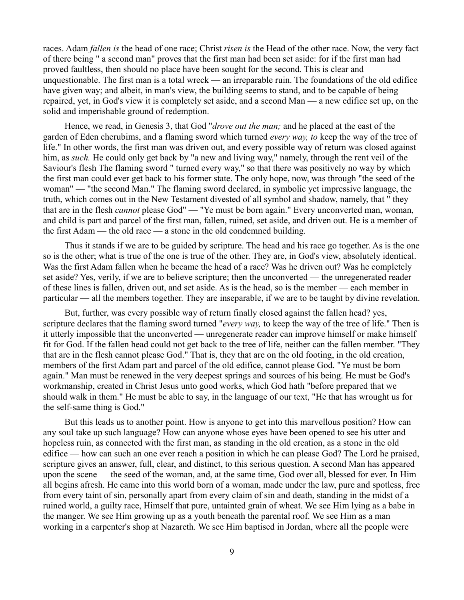races. Adam *fallen is* the head of one race; Christ *risen is* the Head of the other race. Now, the very fact of there being " a second man" proves that the first man had been set aside: for if the first man had proved faultless, then should no place have been sought for the second. This is clear and unquestionable. The first man is a total wreck — an irreparable ruin. The foundations of the old edifice have given way; and albeit, in man's view, the building seems to stand, and to be capable of being repaired, yet, in God's view it is completely set aside, and a second Man — a new edifice set up, on the solid and imperishable ground of redemption.

Hence, we read, in Genesis 3, that God "*drove out the man;* and he placed at the east of the garden of Eden cherubims, and a flaming sword which turned *every way, to* keep the way of the tree of life." In other words, the first man was driven out, and every possible way of return was closed against him, as *such*. He could only get back by "a new and living way," namely, through the rent veil of the Saviour's flesh The flaming sword " turned every way," so that there was positively no way by which the first man could ever get back to his former state. The only hope, now, was through "the seed of the woman" — "the second Man." The flaming sword declared, in symbolic yet impressive language, the truth, which comes out in the New Testament divested of all symbol and shadow, namely, that " they that are in the flesh *cannot* please God" — "Ye must be born again." Every unconverted man, woman, and child is part and parcel of the first man, fallen, ruined, set aside, and driven out. He is a member of the first Adam — the old race — a stone in the old condemned building.

Thus it stands if we are to be guided by scripture. The head and his race go together. As is the one so is the other; what is true of the one is true of the other. They are, in God's view, absolutely identical. Was the first Adam fallen when he became the head of a race? Was he driven out? Was he completely set aside? Yes, verily, if we are to believe scripture; then the unconverted — the unregenerated reader of these lines is fallen, driven out, and set aside. As is the head, so is the member — each member in particular — all the members together. They are inseparable, if we are to be taught by divine revelation.

But, further, was every possible way of return finally closed against the fallen head? yes, scripture declares that the flaming sword turned "*every way,* to keep the way of the tree of life." Then is it utterly impossible that the unconverted — unregenerate reader can improve himself or make himself fit for God. If the fallen head could not get back to the tree of life, neither can the fallen member. "They that are in the flesh cannot please God." That is, they that are on the old footing, in the old creation, members of the first Adam part and parcel of the old edifice, cannot please God. "Ye must be born again." Man must be renewed in the very deepest springs and sources of his being. He must be God's workmanship, created in Christ Jesus unto good works, which God hath "before prepared that we should walk in them." He must be able to say, in the language of our text, "He that has wrought us for the self-same thing is God."

But this leads us to another point. How is anyone to get into this marvellous position? How can any soul take up such language? How can anyone whose eyes have been opened to see his utter and hopeless ruin, as connected with the first man, as standing in the old creation, as a stone in the old edifice — how can such an one ever reach a position in which he can please God? The Lord he praised, scripture gives an answer, full, clear, and distinct, to this serious question. A second Man has appeared upon the scene — the seed of the woman, and, at the same time, God over all, blessed for ever. In Him all begins afresh. He came into this world born of a woman, made under the law, pure and spotless, free from every taint of sin, personally apart from every claim of sin and death, standing in the midst of a ruined world, a guilty race, Himself that pure, untainted grain of wheat. We see Him lying as a babe in the manger. We see Him growing up as a youth beneath the parental roof. We see Him as a man working in a carpenter's shop at Nazareth. We see Him baptised in Jordan, where all the people were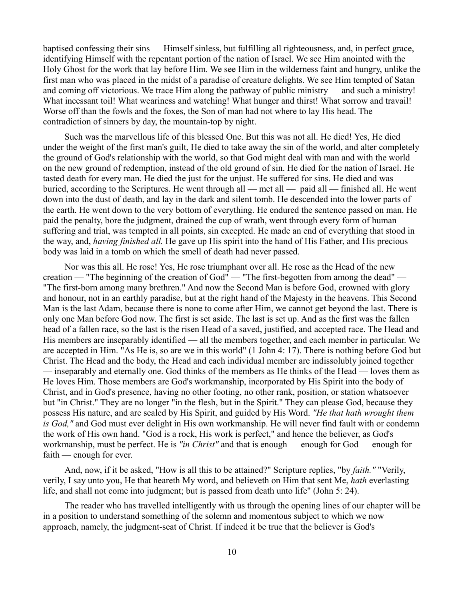baptised confessing their sins — Himself sinless, but fulfilling all righteousness, and, in perfect grace, identifying Himself with the repentant portion of the nation of Israel. We see Him anointed with the Holy Ghost for the work that lay before Him. We see Him in the wilderness faint and hungry, unlike the first man who was placed in the midst of a paradise of creature delights. We see Him tempted of Satan and coming off victorious. We trace Him along the pathway of public ministry — and such a ministry! What incessant toil! What weariness and watching! What hunger and thirst! What sorrow and travail! Worse off than the fowls and the foxes, the Son of man had not where to lay His head. The contradiction of sinners by day, the mountain-top by night.

Such was the marvellous life of this blessed One. But this was not all. He died! Yes, He died under the weight of the first man's guilt, He died to take away the sin of the world, and alter completely the ground of God's relationship with the world, so that God might deal with man and with the world on the new ground of redemption, instead of the old ground of sin. He died for the nation of Israel. He tasted death for every man. He died the just for the unjust. He suffered for sins. He died and was buried, according to the Scriptures. He went through all — met all — paid all — finished all. He went down into the dust of death, and lay in the dark and silent tomb. He descended into the lower parts of the earth. He went down to the very bottom of everything. He endured the sentence passed on man. He paid the penalty, bore the judgment, drained the cup of wrath, went through every form of human suffering and trial, was tempted in all points, sin excepted. He made an end of everything that stood in the way, and, *having finished all.* He gave up His spirit into the hand of His Father, and His precious body was laid in a tomb on which the smell of death had never passed.

Nor was this all. He rose! Yes, He rose triumphant over all. He rose as the Head of the new creation — "The beginning of the creation of God" — "The first-begotten from among the dead" — "The first-born among many brethren." And now the Second Man is before God, crowned with glory and honour, not in an earthly paradise, but at the right hand of the Majesty in the heavens. This Second Man is the last Adam, because there is none to come after Him, we cannot get beyond the last. There is only one Man before God now. The first is set aside. The last is set up. And as the first was the fallen head of a fallen race, so the last is the risen Head of a saved, justified, and accepted race. The Head and His members are inseparably identified — all the members together, and each member in particular. We are accepted in Him. "As He is, so are we in this world" (1 John 4: 17). There is nothing before God but Christ. The Head and the body, the Head and each individual member are indissolubly joined together — inseparably and eternally one. God thinks of the members as He thinks of the Head — loves them as He loves Him. Those members are God's workmanship, incorporated by His Spirit into the body of Christ, and in God's presence, having no other footing, no other rank, position, or station whatsoever but "in Christ." They are no longer "in the flesh, but in the Spirit." They can please God, because they possess His nature, and are sealed by His Spirit, and guided by His Word. *"He that hath wrought them is God,"* and God must ever delight in His own workmanship. He will never find fault with or condemn the work of His own hand. "God is a rock, His work is perfect," and hence the believer, as God's workmanship, must be perfect. He is *"in Christ"* and that is enough — enough for God — enough for faith — enough for ever.

And, now, if it be asked, "How is all this to be attained?" Scripture replies, "by *faith."* "Verily, verily, I say unto you, He that heareth My word, and believeth on Him that sent Me, *hath* everlasting life, and shall not come into judgment; but is passed from death unto life" (John 5: 24).

The reader who has travelled intelligently with us through the opening lines of our chapter will be in a position to understand something of the solemn and momentous subject to which we now approach, namely, the judgment-seat of Christ. If indeed it be true that the believer is God's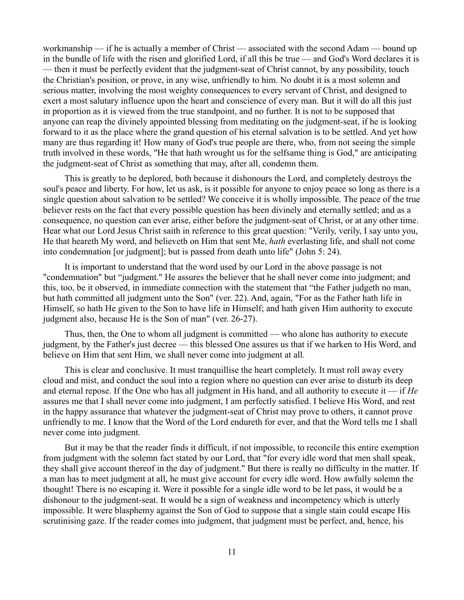workmanship — if he is actually a member of Christ — associated with the second Adam — bound up in the bundle of life with the risen and glorified Lord, if all this be true — and God's Word declares it is — then it must be perfectly evident that the judgment-seat of Christ cannot, by any possibility, touch the Christian's position, or prove, in any wise, unfriendly to him. No doubt it is a most solemn and serious matter, involving the most weighty consequences to every servant of Christ, and designed to exert a most salutary influence upon the heart and conscience of every man. But it will do all this just in proportion as it is viewed from the true standpoint, and no further. It is not to be supposed that anyone can reap the divinely appointed blessing from meditating on the judgment-seat, if he is looking forward to it as the place where the grand question of his eternal salvation is to be settled. And yet how many are thus regarding it! How many of God's true people are there, who, from not seeing the simple truth involved in these words, "He that hath wrought us for the selfsame thing is God," are anticipating the judgment-seat of Christ as something that may, after all, condemn them.

This is greatly to be deplored, both because it dishonours the Lord, and completely destroys the soul's peace and liberty. For how, let us ask, is it possible for anyone to enjoy peace so long as there is a single question about salvation to be settled? We conceive it is wholly impossible. The peace of the true believer rests on the fact that every possible question has been divinely and eternally settled; and as a consequence, no question can ever arise, either before the judgment-seat of Christ, or at any other time. Hear what our Lord Jesus Christ saith in reference to this great question: "Verily, verily, I say unto you, He that heareth My word, and believeth on Him that sent Me, *hath* everlasting life, and shall not come into condemnation [or judgment]; but is passed from death unto life" (John 5: 24).

It is important to understand that the word used by our Lord in the above passage is not "condemnation" but "judgment." He assures the believer that he shall never come into judgment; and this, too, be it observed, in immediate connection with the statement that "the Father judgeth no man, but hath committed all judgment unto the Son" (ver. 22). And, again, "For as the Father hath life in Himself, so hath He given to the Son to have life in Himself; and hath given Him authority to execute judgment also, because He is the Son of man" (ver. 26-27).

Thus, then, the One to whom all judgment is committed — who alone has authority to execute judgment, by the Father's just decree — this blessed One assures us that if we harken to His Word, and believe on Him that sent Him, we shall never come into judgment at all.

This is clear and conclusive. It must tranquillise the heart completely. It must roll away every cloud and mist, and conduct the soul into a region where no question can ever arise to disturb its deep and eternal repose. If the One who has all judgment in His hand, and all authority to execute it — if *He* assures me that I shall never come into judgment, I am perfectly satisfied. I believe His Word, and rest in the happy assurance that whatever the judgment-seat of Christ may prove to others, it cannot prove unfriendly to me. I know that the Word of the Lord endureth for ever, and that the Word tells me I shall never come into judgment.

But it may be that the reader finds it difficult, if not impossible, to reconcile this entire exemption from judgment with the solemn fact stated by our Lord, that "for every idle word that men shall speak, they shall give account thereof in the day of judgment." But there is really no difficulty in the matter. If a man has to meet judgment at all, he must give account for every idle word. How awfully solemn the thought! There is no escaping it. Were it possible for a single idle word to be let pass, it would be a dishonour to the judgment-seat. It would be a sign of weakness and incompetency which is utterly impossible. It were blasphemy against the Son of God to suppose that a single stain could escape His scrutinising gaze. If the reader comes into judgment, that judgment must be perfect, and, hence, his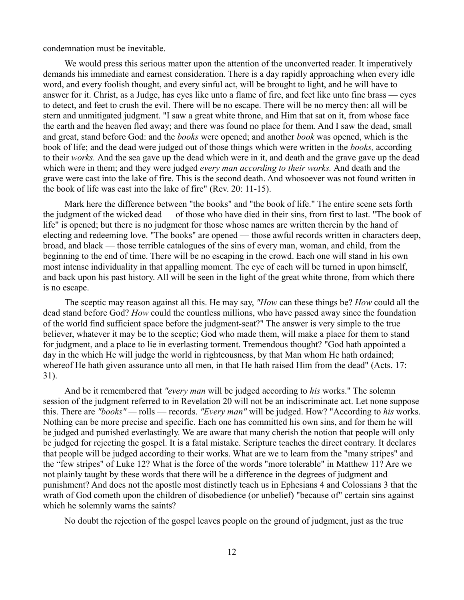condemnation must be inevitable.

We would press this serious matter upon the attention of the unconverted reader. It imperatively demands his immediate and earnest consideration. There is a day rapidly approaching when every idle word, and every foolish thought, and every sinful act, will be brought to light, and he will have to answer for it. Christ, as a Judge, has eyes like unto a flame of fire, and feet like unto fine brass — eyes to detect, and feet to crush the evil. There will be no escape. There will be no mercy then: all will be stern and unmitigated judgment. "I saw a great white throne, and Him that sat on it, from whose face the earth and the heaven fled away; and there was found no place for them. And I saw the dead, small and great, stand before God: and the *books* were opened; and another *book* was opened, which is the book of life; and the dead were judged out of those things which were written in the *books,* according to their *works.* And the sea gave up the dead which were in it, and death and the grave gave up the dead which were in them; and they were judged *every man according to their works.* And death and the grave were cast into the lake of fire. This is the second death. And whosoever was not found written in the book of life was cast into the lake of fire" (Rev. 20: 11-15).

Mark here the difference between "the books" and "the book of life." The entire scene sets forth the judgment of the wicked dead — of those who have died in their sins, from first to last. "The book of life" is opened; but there is no judgment for those whose names are written therein by the hand of electing and redeeming love. "The books" are opened — those awful records written in characters deep, broad, and black — those terrible catalogues of the sins of every man, woman, and child, from the beginning to the end of time. There will be no escaping in the crowd. Each one will stand in his own most intense individuality in that appalling moment. The eye of each will be turned in upon himself, and back upon his past history. All will be seen in the light of the great white throne, from which there is no escape.

The sceptic may reason against all this. He may say, *"How* can these things be? *How* could all the dead stand before God? *How* could the countless millions, who have passed away since the foundation of the world find sufficient space before the judgment-seat?" The answer is very simple to the true believer, whatever it may be to the sceptic; God who made them, will make a place for them to stand for judgment, and a place to lie in everlasting torment. Tremendous thought? "God hath appointed a day in the which He will judge the world in righteousness, by that Man whom He hath ordained; whereof He hath given assurance unto all men, in that He hath raised Him from the dead" (Acts. 17: 31).

And be it remembered that *"every man* will be judged according to *his* works." The solemn session of the judgment referred to in Revelation 20 will not be an indiscriminate act. Let none suppose this. There are *"books" —* rolls — records. *"Every man"* will be judged. How? "According to *his* works. Nothing can be more precise and specific. Each one has committed his own sins, and for them he will be judged and punished everlastingly. We are aware that many cherish the notion that people will only be judged for rejecting the gospel. It is a fatal mistake. Scripture teaches the direct contrary. It declares that people will be judged according to their works. What are we to learn from the "many stripes" and the "few stripes" of Luke 12? What is the force of the words "more tolerable" in Matthew 11? Are we not plainly taught by these words that there will be a difference in the degrees of judgment and punishment? And does not the apostle most distinctly teach us in Ephesians 4 and Colossians 3 that the wrath of God cometh upon the children of disobedience (or unbelief) "because of" certain sins against which he solemnly warns the saints?

No doubt the rejection of the gospel leaves people on the ground of judgment, just as the true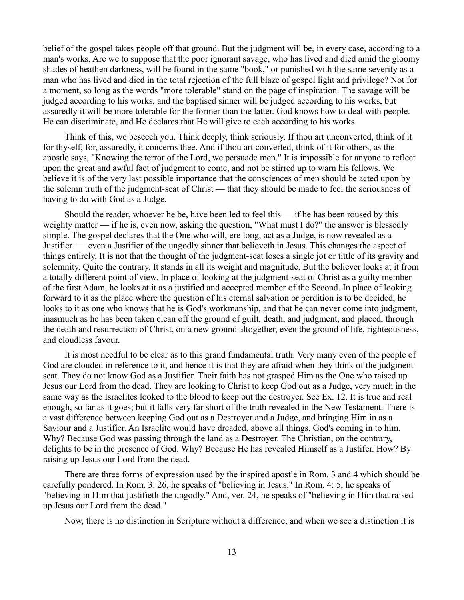belief of the gospel takes people off that ground. But the judgment will be, in every case, according to a man's works. Are we to suppose that the poor ignorant savage, who has lived and died amid the gloomy shades of heathen darkness, will be found in the same "book," or punished with the same severity as a man who has lived and died in the total rejection of the full blaze of gospel light and privilege? Not for a moment, so long as the words "more tolerable" stand on the page of inspiration. The savage will be judged according to his works, and the baptised sinner will be judged according to his works, but assuredly it will be more tolerable for the former than the latter. God knows how to deal with people. He can discriminate, and He declares that He will give to each according to his works.

Think of this, we beseech you. Think deeply, think seriously. If thou art unconverted, think of it for thyself, for, assuredly, it concerns thee. And if thou art converted, think of it for others, as the apostle says, "Knowing the terror of the Lord, we persuade men." It is impossible for anyone to reflect upon the great and awful fact of judgment to come, and not be stirred up to warn his fellows. We believe it is of the very last possible importance that the consciences of men should be acted upon by the solemn truth of the judgment-seat of Christ — that they should be made to feel the seriousness of having to do with God as a Judge.

Should the reader, whoever he be, have been led to feel this — if he has been roused by this weighty matter — if he is, even now, asking the question, "What must I do?" the answer is blessedly simple. The gospel declares that the One who will, ere long, act as a Judge, is now revealed as a Justifier — even a Justifier of the ungodly sinner that believeth in Jesus. This changes the aspect of things entirely. It is not that the thought of the judgment-seat loses a single jot or tittle of its gravity and solemnity. Quite the contrary. It stands in all its weight and magnitude. But the believer looks at it from a totally different point of view. In place of looking at the judgment-seat of Christ as a guilty member of the first Adam, he looks at it as a justified and accepted member of the Second. In place of looking forward to it as the place where the question of his eternal salvation or perdition is to be decided, he looks to it as one who knows that he is God's workmanship, and that he can never come into judgment, inasmuch as he has been taken clean off the ground of guilt, death, and judgment, and placed, through the death and resurrection of Christ, on a new ground altogether, even the ground of life, righteousness, and cloudless favour.

It is most needful to be clear as to this grand fundamental truth. Very many even of the people of God are clouded in reference to it, and hence it is that they are afraid when they think of the judgmentseat. They do not know God as a Justifier. Their faith has not grasped Him as the One who raised up Jesus our Lord from the dead. They are looking to Christ to keep God out as a Judge, very much in the same way as the Israelites looked to the blood to keep out the destroyer. See Ex. 12. It is true and real enough, so far as it goes; but it falls very far short of the truth revealed in the New Testament. There is a vast difference between keeping God out as a Destroyer and a Judge, and bringing Him in as a Saviour and a Justifier. An Israelite would have dreaded, above all things, God's coming in to him. Why? Because God was passing through the land as a Destroyer. The Christian, on the contrary, delights to be in the presence of God. Why? Because He has revealed Himself as a Justifer. How? By raising up Jesus our Lord from the dead.

There are three forms of expression used by the inspired apostle in Rom. 3 and 4 which should be carefully pondered. In Rom. 3: 26, he speaks of "believing in Jesus." In Rom. 4: 5, he speaks of "believing in Him that justifieth the ungodly." And, ver. 24, he speaks of "believing in Him that raised up Jesus our Lord from the dead."

Now, there is no distinction in Scripture without a difference; and when we see a distinction it is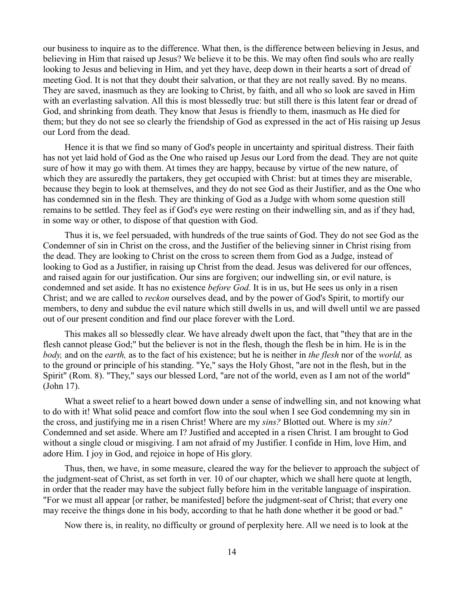our business to inquire as to the difference. What then, is the difference between believing in Jesus, and believing in Him that raised up Jesus? We believe it to be this. We may often find souls who are really looking to Jesus and believing in Him, and yet they have, deep down in their hearts a sort of dread of meeting God. It is not that they doubt their salvation, or that they are not really saved. By no means. They are saved, inasmuch as they are looking to Christ, by faith, and all who so look are saved in Him with an everlasting salvation. All this is most blessedly true: but still there is this latent fear or dread of God, and shrinking from death. They know that Jesus is friendly to them, inasmuch as He died for them; but they do not see so clearly the friendship of God as expressed in the act of His raising up Jesus our Lord from the dead.

Hence it is that we find so many of God's people in uncertainty and spiritual distress. Their faith has not yet laid hold of God as the One who raised up Jesus our Lord from the dead. They are not quite sure of how it may go with them. At times they are happy, because by virtue of the new nature, of which they are assuredly the partakers, they get occupied with Christ: but at times they are miserable, because they begin to look at themselves, and they do not see God as their Justifier, and as the One who has condemned sin in the flesh. They are thinking of God as a Judge with whom some question still remains to be settled. They feel as if God's eye were resting on their indwelling sin, and as if they had, in some way or other, to dispose of that question with God.

Thus it is, we feel persuaded, with hundreds of the true saints of God. They do not see God as the Condemner of sin in Christ on the cross, and the Justifier of the believing sinner in Christ rising from the dead. They are looking to Christ on the cross to screen them from God as a Judge, instead of looking to God as a Justifier, in raising up Christ from the dead. Jesus was delivered for our offences, and raised again for our justification. Our sins are forgiven; our indwelling sin, or evil nature, is condemned and set aside. It has no existence *before God.* It is in us, but He sees us only in a risen Christ; and we are called to *reckon* ourselves dead, and by the power of God's Spirit, to mortify our members, to deny and subdue the evil nature which still dwells in us, and will dwell until we are passed out of our present condition and find our place forever with the Lord.

This makes all so blessedly clear. We have already dwelt upon the fact, that "they that are in the flesh cannot please God;" but the believer is not in the flesh, though the flesh be in him. He is in the *body,* and on the *earth,* as to the fact of his existence; but he is neither in *the flesh* nor of the *world,* as to the ground or principle of his standing. "Ye," says the Holy Ghost, "are not in the flesh, but in the Spirit" (Rom. 8). "They," says our blessed Lord, "are not of the world, even as I am not of the world" (John 17).

What a sweet relief to a heart bowed down under a sense of indwelling sin, and not knowing what to do with it! What solid peace and comfort flow into the soul when I see God condemning my sin in the cross, and justifying me in a risen Christ! Where are my *sins?* Blotted out. Where is my *sin?* Condemned and set aside. Where am I? Justified and accepted in a risen Christ. I am brought to God without a single cloud or misgiving. I am not afraid of my Justifier. I confide in Him, love Him, and adore Him. I joy in God, and rejoice in hope of His glory.

Thus, then, we have, in some measure, cleared the way for the believer to approach the subject of the judgment-seat of Christ, as set forth in ver. 10 of our chapter, which we shall here quote at length, in order that the reader may have the subject fully before him in the veritable language of inspiration. "For we must all appear [or rather, be manifested] before the judgment-seat of Christ; that every one may receive the things done in his body, according to that he hath done whether it be good or bad."

Now there is, in reality, no difficulty or ground of perplexity here. All we need is to look at the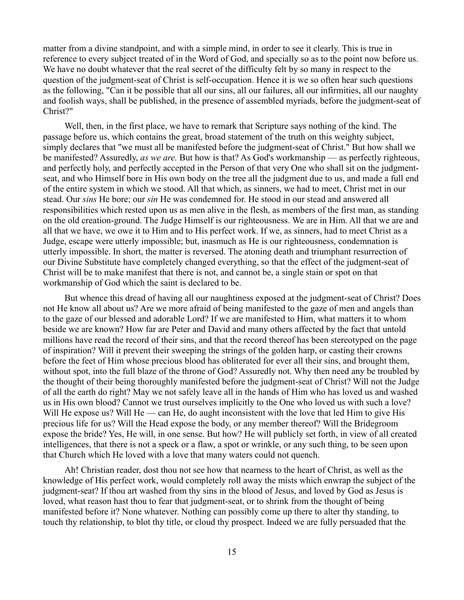matter from a divine standpoint, and with a simple mind, in order to see it clearly. This is true in reference to every subject treated of in the Word of God, and specially so as to the point now before us. We have no doubt whatever that the real secret of the difficulty felt by so many in respect to the question of the judgment-seat of Christ is self-occupation. Hence it is we so often hear such questions as the following, "Can it be possible that all our sins, all our failures, all our infirmities, all our naughty and foolish ways, shall be published, in the presence of assembled myriads, before the judgment-seat of Christ?"

Well, then, in the first place, we have to remark that Scripture says nothing of the kind. The passage before us, which contains the great, broad statement of the truth on this weighty subject, simply declares that "we must all be manifested before the judgment-seat of Christ." But how shall we be manifested? Assuredly, *as we are.* But how is that? As God's workmanship — as perfectly righteous, and perfectly holy, and perfectly accepted in the Person of that very One who shall sit on the judgmentseat, and who Himself bore in His own body on the tree all the judgment due to us, and made a full end of the entire system in which we stood. All that which, as sinners, we had to meet, Christ met in our stead. Our *sins* He bore; our *sin* He was condemned for. He stood in our stead and answered all responsibilities which rested upon us as men alive in the flesh, as members of the first man, as standing on the old creation-ground. The Judge Himself is our righteousness. We are in Him. All that we are and all that we have, we owe it to Him and to His perfect work. If we, as sinners, had to meet Christ as a Judge, escape were utterly impossible; but, inasmuch as He is our righteousness, condemnation is utterly impossible. In short, the matter is reversed. The atoning death and triumphant resurrection of our Divine Substitute have completely changed everything, so that the effect of the judgment-seat of Christ will be to make manifest that there is not, and cannot be, a single stain or spot on that workmanship of God which the saint is declared to be.

But whence this dread of having all our naughtiness exposed at the judgment-seat of Christ? Does not He know all about us? Are we more afraid of being manifested to the gaze of men and angels than to the gaze of our blessed and adorable Lord? If we are manifested to Him, what matters it to whom beside we are known? How far are Peter and David and many others affected by the fact that untold millions have read the record of their sins, and that the record thereof has been stereotyped on the page of inspiration? Will it prevent their sweeping the strings of the golden harp, or casting their crowns before the feet of Him whose precious blood has obliterated for ever all their sins, and brought them, without spot, into the full blaze of the throne of God? Assuredly not. Why then need any be troubled by the thought of their being thoroughly manifested before the judgment-seat of Christ? Will not the Judge of all the earth do right? May we not safely leave all in the hands of Him who has loved us and washed us in His own blood? Cannot we trust ourselves implicitly to the One who loved us with such a love? Will He expose us? Will He — can He, do aught inconsistent with the love that led Him to give His precious life for us? Will the Head expose the body, or any member thereof? Will the Bridegroom expose the bride? Yes, He will, in one sense. But how? He will publicly set forth, in view of all created intelligences, that there is not a speck or a flaw, a spot or wrinkle, or any such thing, to be seen upon that Church which He loved with a love that many waters could not quench.

Ah! Christian reader, dost thou not see how that nearness to the heart of Christ, as well as the knowledge of His perfect work, would completely roll away the mists which enwrap the subject of the judgment-seat? If thou art washed from thy sins in the blood of Jesus, and loved by God as Jesus is loved, what reason hast thou to fear that judgment-seat, or to shrink from the thought of being manifested before it? None whatever. Nothing can possibly come up there to alter thy standing, to touch thy relationship, to blot thy title, or cloud thy prospect. Indeed we are fully persuaded that the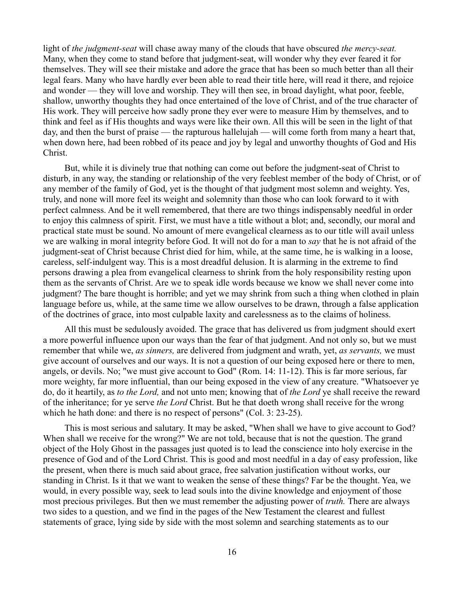light of *the judgment-seat* will chase away many of the clouds that have obscured *the mercy-seat.* Many, when they come to stand before that judgment-seat, will wonder why they ever feared it for themselves. They will see their mistake and adore the grace that has been so much better than all their legal fears. Many who have hardly ever been able to read their title here, will read it there, and rejoice and wonder — they will love and worship. They will then see, in broad daylight, what poor, feeble, shallow, unworthy thoughts they had once entertained of the love of Christ, and of the true character of His work. They will perceive how sadly prone they ever were to measure Him by themselves, and to think and feel as if His thoughts and ways were like their own. All this will be seen in the light of that day, and then the burst of praise — the rapturous hallelujah — will come forth from many a heart that, when down here, had been robbed of its peace and joy by legal and unworthy thoughts of God and His Christ.

But, while it is divinely true that nothing can come out before the judgment-seat of Christ to disturb, in any way, the standing or relationship of the very feeblest member of the body of Christ, or of any member of the family of God, yet is the thought of that judgment most solemn and weighty. Yes, truly, and none will more feel its weight and solemnity than those who can look forward to it with perfect calmness. And be it well remembered, that there are two things indispensably needful in order to enjoy this calmness of spirit. First, we must have a title without a blot; and, secondly, our moral and practical state must be sound. No amount of mere evangelical clearness as to our title will avail unless we are walking in moral integrity before God. It will not do for a man to *say* that he is not afraid of the judgment-seat of Christ because Christ died for him, while, at the same time, he is walking in a loose, careless, self-indulgent way. This is a most dreadful delusion. It is alarming in the extreme to find persons drawing a plea from evangelical clearness to shrink from the holy responsibility resting upon them as the servants of Christ. Are we to speak idle words because we know we shall never come into judgment? The bare thought is horrible; and yet we may shrink from such a thing when clothed in plain language before us, while, at the same time we allow ourselves to be drawn, through a false application of the doctrines of grace, into most culpable laxity and carelessness as to the claims of holiness.

All this must be sedulously avoided. The grace that has delivered us from judgment should exert a more powerful influence upon our ways than the fear of that judgment. And not only so, but we must remember that while we, *as sinners,* are delivered from judgment and wrath, yet, *as servants,* we must give account of ourselves and our ways. It is not a question of our being exposed here or there to men, angels, or devils. No; "we must give account to God" (Rom. 14: 11-12). This is far more serious, far more weighty, far more influential, than our being exposed in the view of any creature. "Whatsoever ye do, do it heartily, as *to the Lord,* and not unto men; knowing that of *the Lord* ye shall receive the reward of the inheritance; for ye serve *the Lord* Christ. But he that doeth wrong shall receive for the wrong which he hath done: and there is no respect of persons" (Col. 3: 23-25).

This is most serious and salutary. It may be asked, "When shall we have to give account to God? When shall we receive for the wrong?" We are not told, because that is not the question. The grand object of the Holy Ghost in the passages just quoted is to lead the conscience into holy exercise in the presence of God and of the Lord Christ. This is good and most needful in a day of easy profession, like the present, when there is much said about grace, free salvation justification without works, our standing in Christ. Is it that we want to weaken the sense of these things? Far be the thought. Yea, we would, in every possible way, seek to lead souls into the divine knowledge and enjoyment of those most precious privileges. But then we must remember the adjusting power of *truth.* There are always two sides to a question, and we find in the pages of the New Testament the clearest and fullest statements of grace, lying side by side with the most solemn and searching statements as to our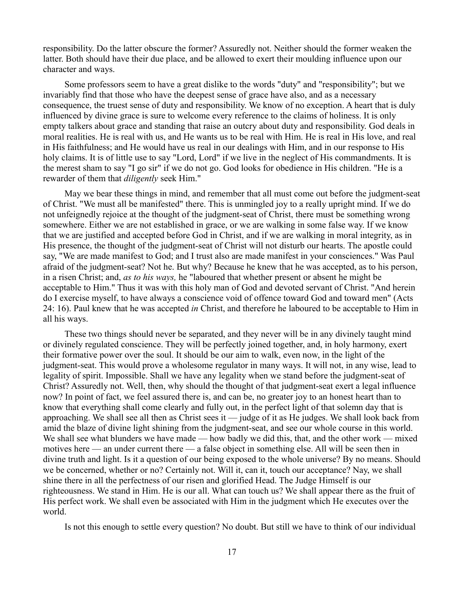responsibility. Do the latter obscure the former? Assuredly not. Neither should the former weaken the latter. Both should have their due place, and be allowed to exert their moulding influence upon our character and ways.

Some professors seem to have a great dislike to the words "duty" and "responsibility"; but we invariably find that those who have the deepest sense of grace have also, and as a necessary consequence, the truest sense of duty and responsibility. We know of no exception. A heart that is duly influenced by divine grace is sure to welcome every reference to the claims of holiness. It is only empty talkers about grace and standing that raise an outcry about duty and responsibility. God deals in moral realities. He is real with us, and He wants us to be real with Him. He is real in His love, and real in His faithfulness; and He would have us real in our dealings with Him, and in our response to His holy claims. It is of little use to say "Lord, Lord" if we live in the neglect of His commandments. It is the merest sham to say "I go sir" if we do not go. God looks for obedience in His children. "He is a rewarder of them that *diligently* seek Him."

May we bear these things in mind, and remember that all must come out before the judgment-seat of Christ. "We must all be manifested" there. This is unmingled joy to a really upright mind. If we do not unfeignedly rejoice at the thought of the judgment-seat of Christ, there must be something wrong somewhere. Either we are not established in grace, or we are walking in some false way. If we know that we are justified and accepted before God in Christ, and if we are walking in moral integrity, as in His presence, the thought of the judgment-seat of Christ will not disturb our hearts. The apostle could say, "We are made manifest to God; and I trust also are made manifest in your consciences." Was Paul afraid of the judgment-seat? Not he. But why? Because he knew that he was accepted, as to his person, in a risen Christ; and, *as to his ways,* he "laboured that whether present or absent he might be acceptable to Him." Thus it was with this holy man of God and devoted servant of Christ. "And herein do I exercise myself, to have always a conscience void of offence toward God and toward men" (Acts 24: 16). Paul knew that he was accepted *in* Christ, and therefore he laboured to be acceptable to Him in all his ways.

These two things should never be separated, and they never will be in any divinely taught mind or divinely regulated conscience. They will be perfectly joined together, and, in holy harmony, exert their formative power over the soul. It should be our aim to walk, even now, in the light of the judgment-seat. This would prove a wholesome regulator in many ways. It will not, in any wise, lead to legality of spirit. Impossible. Shall we have any legality when we stand before the judgment-seat of Christ? Assuredly not. Well, then, why should the thought of that judgment-seat exert a legal influence now? In point of fact, we feel assured there is, and can be, no greater joy to an honest heart than to know that everything shall come clearly and fully out, in the perfect light of that solemn day that is approaching. We shall see all then as Christ sees it — judge of it as He judges. We shall look back from amid the blaze of divine light shining from the judgment-seat, and see our whole course in this world. We shall see what blunders we have made — how badly we did this, that, and the other work — mixed motives here — an under current there — a false object in something else. All will be seen then in divine truth and light. Is it a question of our being exposed to the whole universe? By no means. Should we be concerned, whether or no? Certainly not. Will it, can it, touch our acceptance? Nay, we shall shine there in all the perfectness of our risen and glorified Head. The Judge Himself is our righteousness. We stand in Him. He is our all. What can touch us? We shall appear there as the fruit of His perfect work. We shall even be associated with Him in the judgment which He executes over the world.

Is not this enough to settle every question? No doubt. But still we have to think of our individual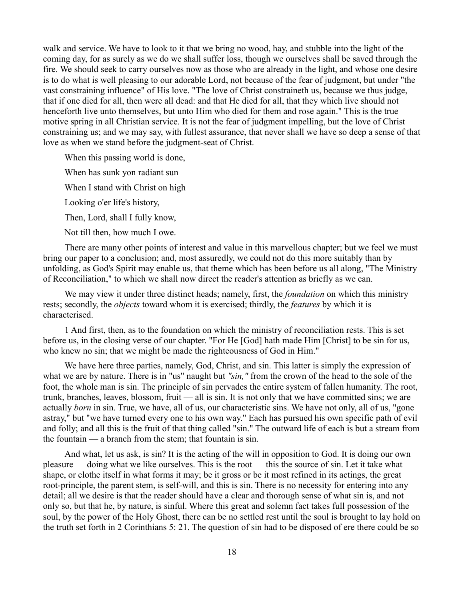walk and service. We have to look to it that we bring no wood, hay, and stubble into the light of the coming day, for as surely as we do we shall suffer loss, though we ourselves shall be saved through the fire. We should seek to carry ourselves now as those who are already in the light, and whose one desire is to do what is well pleasing to our adorable Lord, not because of the fear of judgment, but under "the vast constraining influence" of His love. "The love of Christ constraineth us, because we thus judge, that if one died for all, then were all dead: and that He died for all, that they which live should not henceforth live unto themselves, but unto Him who died for them and rose again." This is the true motive spring in all Christian service. It is not the fear of judgment impelling, but the love of Christ constraining us; and we may say, with fullest assurance, that never shall we have so deep a sense of that love as when we stand before the judgment-seat of Christ.

When this passing world is done,

When has sunk yon radiant sun

When I stand with Christ on high

Looking o'er life's history,

Then, Lord, shall I fully know,

Not till then, how much I owe.

There are many other points of interest and value in this marvellous chapter; but we feel we must bring our paper to a conclusion; and, most assuredly, we could not do this more suitably than by unfolding, as God's Spirit may enable us, that theme which has been before us all along, "The Ministry of Reconciliation," to which we shall now direct the reader's attention as briefly as we can.

We may view it under three distinct heads; namely, first, the *foundation* on which this ministry rests; secondly, the *objects* toward whom it is exercised; thirdly, the *features* by which it is characterised.

1 And first, then, as to the foundation on which the ministry of reconciliation rests. This is set before us, in the closing verse of our chapter. "For He [God] hath made Him [Christ] to be sin for us, who knew no sin; that we might be made the righteousness of God in Him."

We have here three parties, namely, God, Christ, and sin. This latter is simply the expression of what we are by nature. There is in "us" naught but *"sin,"* from the crown of the head to the sole of the foot, the whole man is sin. The principle of sin pervades the entire system of fallen humanity. The root, trunk, branches, leaves, blossom, fruit — all is sin. It is not only that we have committed sins; we are actually *born* in sin. True, we have, all of us, our characteristic sins. We have not only, all of us, "gone astray," but "we have turned every one to his own way." Each has pursued his own specific path of evil and folly; and all this is the fruit of that thing called "sin." The outward life of each is but a stream from the fountain — a branch from the stem; that fountain is sin.

And what, let us ask, is sin? It is the acting of the will in opposition to God. It is doing our own pleasure — doing what we like ourselves. This is the root — this the source of sin. Let it take what shape, or clothe itself in what forms it may; be it gross or be it most refined in its actings, the great root-principle, the parent stem, is self-will, and this is sin. There is no necessity for entering into any detail; all we desire is that the reader should have a clear and thorough sense of what sin is, and not only so, but that he, by nature, is sinful. Where this great and solemn fact takes full possession of the soul, by the power of the Holy Ghost, there can be no settled rest until the soul is brought to lay hold on the truth set forth in 2 Corinthians 5: 21. The question of sin had to be disposed of ere there could be so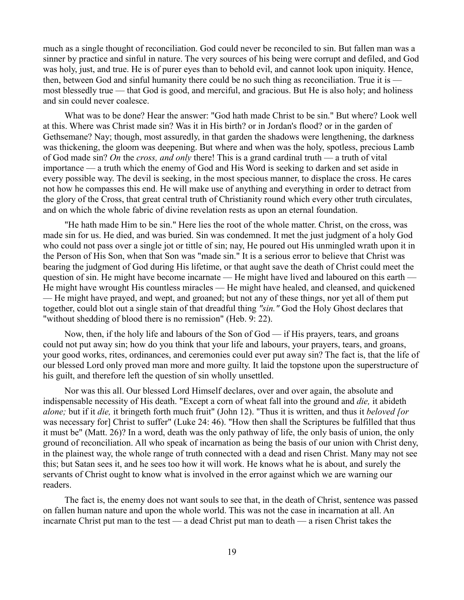much as a single thought of reconciliation. God could never be reconciled to sin. But fallen man was a sinner by practice and sinful in nature. The very sources of his being were corrupt and defiled, and God was holy, just, and true. He is of purer eyes than to behold evil, and cannot look upon iniquity. Hence, then, between God and sinful humanity there could be no such thing as reconciliation. True it is most blessedly true — that God is good, and merciful, and gracious. But He is also holy; and holiness and sin could never coalesce.

What was to be done? Hear the answer: "God hath made Christ to be sin." But where? Look well at this. Where was Christ made sin? Was it in His birth? or in Jordan's flood? or in the garden of Gethsemane? Nay; though, most assuredly, in that garden the shadows were lengthening, the darkness was thickening, the gloom was deepening. But where and when was the holy, spotless, precious Lamb of God made sin? *On* the *cross, and only* there! This is a grand cardinal truth — a truth of vital importance — a truth which the enemy of God and His Word is seeking to darken and set aside in every possible way. The devil is seeking, in the most specious manner, to displace the cross. He cares not how he compasses this end. He will make use of anything and everything in order to detract from the glory of the Cross, that great central truth of Christianity round which every other truth circulates, and on which the whole fabric of divine revelation rests as upon an eternal foundation.

"He hath made Him to be sin." Here lies the root of the whole matter. Christ, on the cross, was made sin for us. He died, and was buried. Sin was condemned. It met the just judgment of a holy God who could not pass over a single jot or tittle of sin; nay, He poured out His unmingled wrath upon it in the Person of His Son, when that Son was "made sin." It is a serious error to believe that Christ was bearing the judgment of God during His lifetime, or that aught save the death of Christ could meet the question of sin. He might have become incarnate — He might have lived and laboured on this earth — He might have wrought His countless miracles — He might have healed, and cleansed, and quickened — He might have prayed, and wept, and groaned; but not any of these things, nor yet all of them put together, could blot out a single stain of that dreadful thing *"sin."* God the Holy Ghost declares that "without shedding of blood there is no remission" (Heb. 9: 22).

Now, then, if the holy life and labours of the Son of God — if His prayers, tears, and groans could not put away sin; how do you think that your life and labours, your prayers, tears, and groans, your good works, rites, ordinances, and ceremonies could ever put away sin? The fact is, that the life of our blessed Lord only proved man more and more guilty. It laid the topstone upon the superstructure of his guilt, and therefore left the question of sin wholly unsettled.

Nor was this all. Our blessed Lord Himself declares, over and over again, the absolute and indispensable necessity of His death. "Except a corn of wheat fall into the ground and *die,* it abideth *alone;* but if it *die,* it bringeth forth much fruit" (John 12). "Thus it is written, and thus it *beloved [or* was necessary for] Christ to suffer" (Luke 24: 46). "How then shall the Scriptures be fulfilled that thus it must be" (Matt. 26)? In a word, death was the only pathway of life, the only basis of union, the only ground of reconciliation. All who speak of incarnation as being the basis of our union with Christ deny, in the plainest way, the whole range of truth connected with a dead and risen Christ. Many may not see this; but Satan sees it, and he sees too how it will work. He knows what he is about, and surely the servants of Christ ought to know what is involved in the error against which we are warning our readers.

The fact is, the enemy does not want souls to see that, in the death of Christ, sentence was passed on fallen human nature and upon the whole world. This was not the case in incarnation at all. An incarnate Christ put man to the test — a dead Christ put man to death — a risen Christ takes the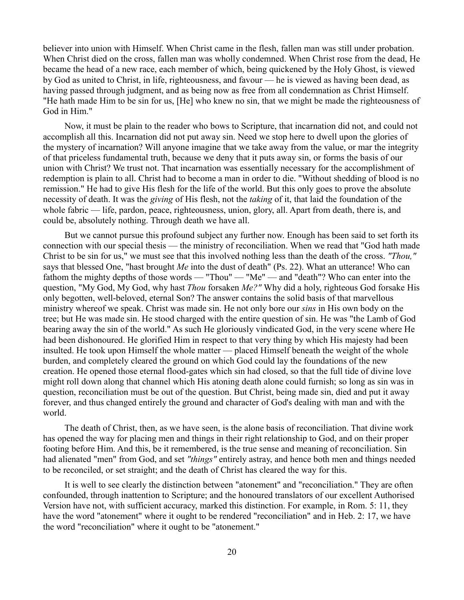believer into union with Himself. When Christ came in the flesh, fallen man was still under probation. When Christ died on the cross, fallen man was wholly condemned. When Christ rose from the dead, He became the head of a new race, each member of which, being quickened by the Holy Ghost, is viewed by God as united to Christ, in life, righteousness, and favour — he is viewed as having been dead, as having passed through judgment, and as being now as free from all condemnation as Christ Himself. "He hath made Him to be sin for us, [He] who knew no sin, that we might be made the righteousness of God in Him."

Now, it must be plain to the reader who bows to Scripture, that incarnation did not, and could not accomplish all this. Incarnation did not put away sin. Need we stop here to dwell upon the glories of the mystery of incarnation? Will anyone imagine that we take away from the value, or mar the integrity of that priceless fundamental truth, because we deny that it puts away sin, or forms the basis of our union with Christ? We trust not. That incarnation was essentially necessary for the accomplishment of redemption is plain to all. Christ had to become a man in order to die. "Without shedding of blood is no remission." He had to give His flesh for the life of the world. But this only goes to prove the absolute necessity of death. It was the *giving* of His flesh, not the *taking* of it, that laid the foundation of the whole fabric — life, pardon, peace, righteousness, union, glory, all. Apart from death, there is, and could be, absolutely nothing. Through death we have all.

But we cannot pursue this profound subject any further now. Enough has been said to set forth its connection with our special thesis — the ministry of reconciliation. When we read that "God hath made Christ to be sin for us," we must see that this involved nothing less than the death of the cross. *"Thou,"* says that blessed One, "hast brought *Me* into the dust of death" (Ps. 22). What an utterance! Who can fathom the mighty depths of those words — "Thou" — "Me" — and "death"? Who can enter into the question, "My God, My God, why hast *Thou* forsaken *Me?"* Why did a holy, righteous God forsake His only begotten, well-beloved, eternal Son? The answer contains the solid basis of that marvellous ministry whereof we speak. Christ was made sin. He not only bore our *sins* in His own body on the tree; but He was made sin. He stood charged with the entire question of sin. He was "the Lamb of God bearing away the sin of the world." As such He gloriously vindicated God, in the very scene where He had been dishonoured. He glorified Him in respect to that very thing by which His majesty had been insulted. He took upon Himself the whole matter — placed Himself beneath the weight of the whole burden, and completely cleared the ground on which God could lay the foundations of the new creation. He opened those eternal flood-gates which sin had closed, so that the full tide of divine love might roll down along that channel which His atoning death alone could furnish; so long as sin was in question, reconciliation must be out of the question. But Christ, being made sin, died and put it away forever, and thus changed entirely the ground and character of God's dealing with man and with the world.

The death of Christ, then, as we have seen, is the alone basis of reconciliation. That divine work has opened the way for placing men and things in their right relationship to God, and on their proper footing before Him. And this, be it remembered, is the true sense and meaning of reconciliation. Sin had alienated "men" from God, and set *"things"* entirely astray, and hence both men and things needed to be reconciled, or set straight; and the death of Christ has cleared the way for this.

It is well to see clearly the distinction between "atonement" and "reconciliation." They are often confounded, through inattention to Scripture; and the honoured translators of our excellent Authorised Version have not, with sufficient accuracy, marked this distinction. For example, in Rom. 5: 11, they have the word "atonement" where it ought to be rendered "reconciliation" and in Heb. 2: 17, we have the word "reconciliation" where it ought to be "atonement."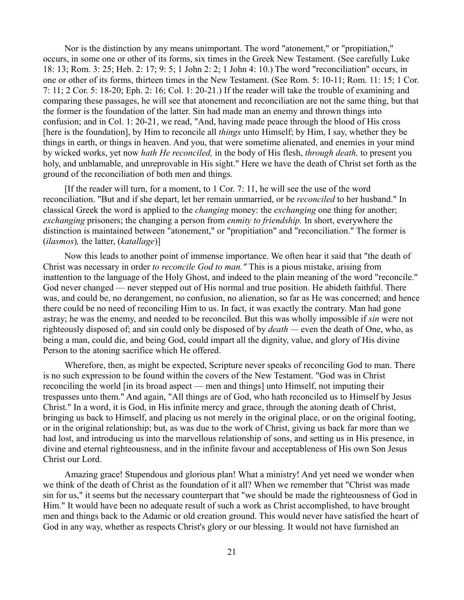Nor is the distinction by any means unimportant. The word "atonement," or "propitiation," occurs, in some one or other of its forms, six times in the Greek New Testament. (See carefully Luke 18: 13; Rom. 3: 25; Heb. 2: 17; 9: 5; 1 John 2: 2; 1 John 4: 10.) The word "reconciliation" occurs, in one or other of its forms, thirteen times in the New Testament. (See Rom. 5: 10-11; Rom. 11: 15; 1 Cor. 7: 11; 2 Cor. 5: 18-20; Eph. 2: 16; Col. 1: 20-21.) If the reader will take the trouble of examining and comparing these passages, he will see that atonement and reconciliation are not the same thing, but that the former is the foundation of the latter. Sin had made man an enemy and thrown things into confusion; and in Col. 1: 20-21, we read, "And, having made peace through the blood of His cross [here is the foundation], by Him to reconcile all *things* unto Himself; by Him, I say, whether they be things in earth, or things in heaven. And you, that were sometime alienated, and enemies in your mind by wicked works, yet now *hath He reconciled,* in the body of His flesh, *through death,* to present you holy, and unblamable, and unreprovable in His sight." Here we have the death of Christ set forth as the ground of the reconciliation of both men and things.

[If the reader will turn, for a moment, to 1 Cor. 7: 11, he will see the use of the word reconciliation. "But and if she depart, let her remain unmarried, or be *reconciled* to her husband." In classical Greek the word is applied to the *changing* money: the *exchanging* one thing for another; *exchanging* prisoners; the changing a person from *enmity to friendship.* In short, everywhere the distinction is maintained between "atonement," or "propitiation" and "reconciliation." The former is (*ilasmos*)*,* the latter, (*katallage*)]

Now this leads to another point of immense importance. We often hear it said that "the death of Christ was necessary in order *to reconcile God to man."* This is a pious mistake, arising from inattention to the language of the Holy Ghost, and indeed to the plain meaning of the word "reconcile." God never changed — never stepped out of His normal and true position. He abideth faithful. There was, and could be, no derangement, no confusion, no alienation, so far as He was concerned; and hence there could be no need of reconciling Him to us. In fact, it was exactly the contrary. Man had gone astray; he was the enemy, and needed to be reconciled. But this was wholly impossible if *sin* were not righteously disposed of; and sin could only be disposed of by *death —* even the death of One, who, as being a man, could die, and being God, could impart all the dignity, value, and glory of His divine Person to the atoning sacrifice which He offered.

Wherefore, then, as might be expected, Scripture never speaks of reconciling God to man. There is no such expression to be found within the covers of the New Testament. "God was in Christ reconciling the world [in its broad aspect — men and things] unto Himself, not imputing their trespasses unto them." And again, "All things are of God, who hath reconciled us to Himself by Jesus Christ." In a word, it is God, in His infinite mercy and grace, through the atoning death of Christ, bringing us back to Himself, and placing us not merely in the original place, or on the original footing, or in the original relationship; but, as was due to the work of Christ, giving us back far more than we had lost, and introducing us into the marvellous relationship of sons, and setting us in His presence, in divine and eternal righteousness, and in the infinite favour and acceptableness of His own Son Jesus Christ our Lord.

Amazing grace! Stupendous and glorious plan! What a ministry! And yet need we wonder when we think of the death of Christ as the foundation of it all? When we remember that "Christ was made sin for us," it seems but the necessary counterpart that "we should be made the righteousness of God in Him." It would have been no adequate result of such a work as Christ accomplished, to have brought men and things back to the Adamic or old creation ground. This would never have satisfied the heart of God in any way, whether as respects Christ's glory or our blessing. It would not have furnished an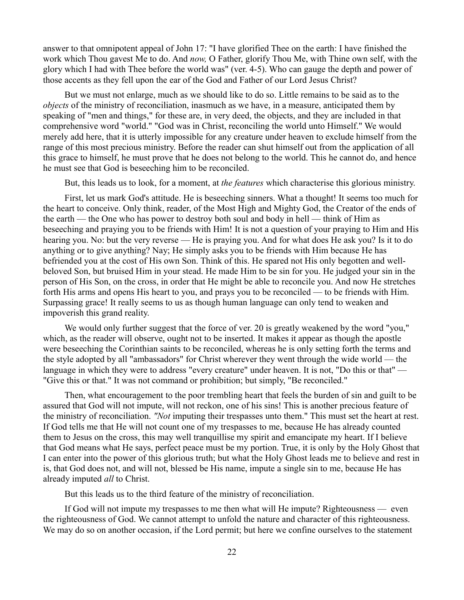answer to that omnipotent appeal of John 17: "I have glorified Thee on the earth: I have finished the work which Thou gavest Me to do. And *now,* O Father, glorify Thou Me, with Thine own self, with the glory which I had with Thee before the world was" (ver. 4-5). Who can gauge the depth and power of those accents as they fell upon the ear of the God and Father of our Lord Jesus Christ?

But we must not enlarge, much as we should like to do so. Little remains to be said as to the *objects* of the ministry of reconciliation, inasmuch as we have, in a measure, anticipated them by speaking of "men and things," for these are, in very deed, the objects, and they are included in that comprehensive word "world." "God was in Christ, reconciling the world unto Himself." We would merely add here, that it is utterly impossible for any creature under heaven to exclude himself from the range of this most precious ministry. Before the reader can shut himself out from the application of all this grace to himself, he must prove that he does not belong to the world. This he cannot do, and hence he must see that God is beseeching him to be reconciled.

But, this leads us to look, for a moment, at *the features* which characterise this glorious ministry.

First, let us mark God's attitude. He is beseeching sinners. What a thought! It seems too much for the heart to conceive. Only think, reader, of the Most High and Mighty God, the Creator of the ends of the earth — the One who has power to destroy both soul and body in hell — think of Him as beseeching and praying you to be friends with Him! It is not a question of your praying to Him and His hearing you. No: but the very reverse — He is praying you. And for what does He ask you? Is it to do anything or to give anything? Nay; He simply asks you to be friends with Him because He has befriended you at the cost of His own Son. Think of this. He spared not His only begotten and wellbeloved Son, but bruised Him in your stead. He made Him to be sin for you. He judged your sin in the person of His Son, on the cross, in order that He might be able to reconcile you. And now He stretches forth His arms and opens His heart to you, and prays you to be reconciled — to be friends with Him. Surpassing grace! It really seems to us as though human language can only tend to weaken and impoverish this grand reality.

We would only further suggest that the force of ver. 20 is greatly weakened by the word "you," which, as the reader will observe, ought not to be inserted. It makes it appear as though the apostle were beseeching the Corinthian saints to be reconciled, whereas he is only setting forth the terms and the style adopted by all "ambassadors" for Christ wherever they went through the wide world — the language in which they were to address "every creature" under heaven. It is not, "Do this or that" — "Give this or that." It was not command or prohibition; but simply, "Be reconciled."

Then, what encouragement to the poor trembling heart that feels the burden of sin and guilt to be assured that God will not impute, will not reckon, one of his sins! This is another precious feature of the ministry of reconciliation. *"Not* imputing their trespasses unto them." This must set the heart at rest. If God tells me that He will not count one of my trespasses to me, because He has already counted them to Jesus on the cross, this may well tranquillise my spirit and emancipate my heart. If I believe that God means what He says, perfect peace must be my portion. True, it is only by the Holy Ghost that I can enter into the power of this glorious truth; but what the Holy Ghost leads me to believe and rest in is, that God does not, and will not, blessed be His name, impute a single sin to me, because He has already imputed *all* to Christ.

But this leads us to the third feature of the ministry of reconciliation.

If God will not impute my trespasses to me then what will He impute? Righteousness — even the righteousness of God. We cannot attempt to unfold the nature and character of this righteousness. We may do so on another occasion, if the Lord permit; but here we confine ourselves to the statement